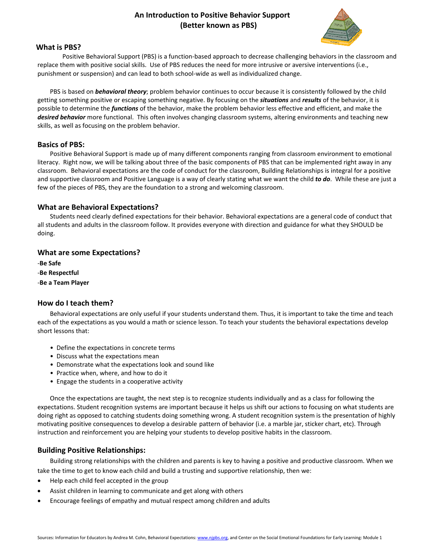# **An Introduction to Positive Behavior Support (Better known as PBS)**



## **What is PBS?**

Positive Behavioral Support (PBS) is a function‐based approach to decrease challenging behaviors in the classroom and replace them with positive social skills. Use of PBS reduces the need for more intrusive or aversive interventions (i.e., punishment or suspension) and can lead to both school‐wide as well as individualized change.

PBS is based on *behavioral theory*; problem behavior continues to occur because it is consistently followed by the child getting something positive or escaping something negative. By focusing on the *situations* and *results* of the behavior, it is possible to determine the *functions* of the behavior, make the problem behavior less effective and efficient, and make the *desired behavior* more functional. This often involves changing classroom systems, altering environments and teaching new skills, as well as focusing on the problem behavior.

## **Basics of PBS:**

Positive Behavioral Support is made up of many different components ranging from classroom environment to emotional literacy. Right now, we will be talking about three of the basic components of PBS that can be implemented right away in any classroom. Behavioral expectations are the code of conduct for the classroom, Building Relationships is integral for a positive and supportive classroom and Positive Language is a way of clearly stating what we want the child *to do*. While these are just a few of the pieces of PBS, they are the foundation to a strong and welcoming classroom.

## **What are Behavioral Expectations?**

Students need clearly defined expectations for their behavior. Behavioral expectations are a general code of conduct that all students and adults in the classroom follow. It provides everyone with direction and guidance for what they SHOULD be doing.

## **What are some Expectations?**

‐**Be Safe** ‐**Be Respectful** ‐**Be a Team Player**

## **How do I teach them?**

Behavioral expectations are only useful if your students understand them. Thus, it is important to take the time and teach each of the expectations as you would a math or science lesson. To teach your students the behavioral expectations develop short lessons that:

- Define the expectations in concrete terms
- Discuss what the expectations mean
- Demonstrate what the expectations look and sound like
- Practice when, where, and how to do it
- Engage the students in a cooperative activity

Once the expectations are taught, the next step is to recognize students individually and as a class for following the expectations. Student recognition systems are important because it helps us shift our actions to focusing on what students are doing right as opposed to catching students doing something wrong. A student recognition system is the presentation of highly motivating positive consequences to develop a desirable pattern of behavior (i.e. a marble jar, sticker chart, etc). Through instruction and reinforcement you are helping your students to develop positive habits in the classroom.

#### **Building Positive Relationships:**

Building strong relationships with the children and parents is key to having a positive and productive classroom. When we take the time to get to know each child and build a trusting and supportive relationship, then we:

- Help each child feel accepted in the group
- Assist children in learning to communicate and get along with others
- Encourage feelings of empathy and mutual respect among children and adults